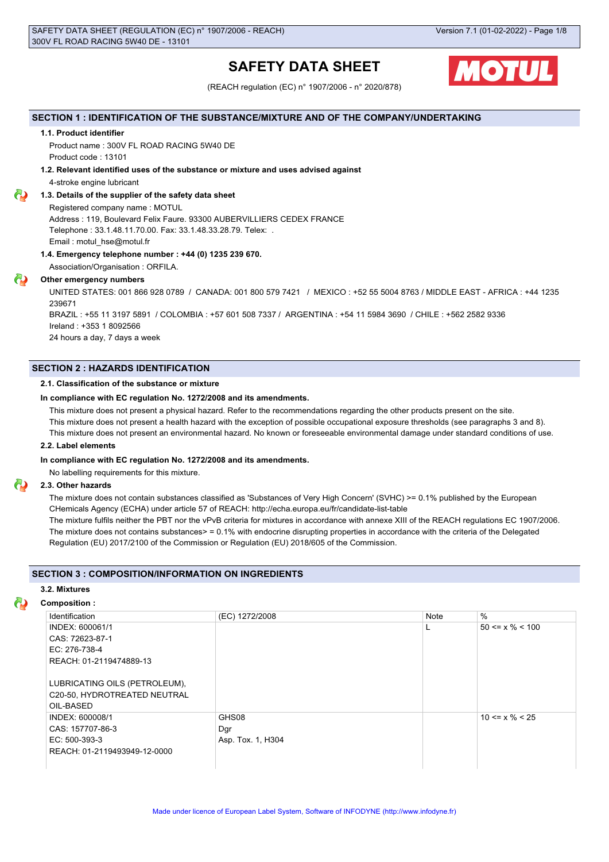# **SAFETY DATA SHEET**



(REACH regulation (EC) n° 1907/2006 - n° 2020/878)

## **SECTION 1 : IDENTIFICATION OF THE SUBSTANCE/MIXTURE AND OF THE COMPANY/UNDERTAKING**

## **1.1. Product identifier**

Product name : 300V FL ROAD RACING 5W40 DE Product code : 13101

## **1.2. Relevant identified uses of the substance or mixture and uses advised against**

4-stroke engine lubricant

## **1.3. Details of the supplier of the safety data sheet**

Registered company name : MOTUL Address : 119, Boulevard Felix Faure. 93300 AUBERVILLIERS CEDEX FRANCE Telephone : 33.1.48.11.70.00. Fax: 33.1.48.33.28.79. Telex: . Email : motul\_hse@motul.fr

## **1.4. Emergency telephone number : +44 (0) 1235 239 670.**

Association/Organisation : ORFILA.

## **Other emergency numbers**

UNITED STATES: 001 866 928 0789 / CANADA: 001 800 579 7421 / MEXICO : +52 55 5004 8763 / MIDDLE EAST - AFRICA : +44 1235 239671

BRAZIL : +55 11 3197 5891 / COLOMBIA : +57 601 508 7337 / ARGENTINA : +54 11 5984 3690 / CHILE : +562 2582 9336 Ireland : +353 1 8092566

24 hours a day, 7 days a week

## **SECTION 2 : HAZARDS IDENTIFICATION**

## **2.1. Classification of the substance or mixture**

## **In compliance with EC regulation No. 1272/2008 and its amendments.**

This mixture does not present a physical hazard. Refer to the recommendations regarding the other products present on the site.

This mixture does not present a health hazard with the exception of possible occupational exposure thresholds (see paragraphs 3 and 8).

This mixture does not present an environmental hazard. No known or foreseeable environmental damage under standard conditions of use.

## **2.2. Label elements**

## **In compliance with EC regulation No. 1272/2008 and its amendments.**

No labelling requirements for this mixture.

## **2.3. Other hazards**

The mixture does not contain substances classified as 'Substances of Very High Concern' (SVHC) >= 0.1% published by the European CHemicals Agency (ECHA) under article 57 of REACH: http://echa.europa.eu/fr/candidate-list-table

The mixture fulfils neither the PBT nor the vPvB criteria for mixtures in accordance with annexe XIII of the REACH regulations EC 1907/2006. The mixture does not contains substances> = 0.1% with endocrine disrupting properties in accordance with the criteria of the Delegated Regulation (EU) 2017/2100 of the Commission or Regulation (EU) 2018/605 of the Commission.

## **SECTION 3 : COMPOSITION/INFORMATION ON INGREDIENTS**

## **3.2. Mixtures**

## **Composition :**

| Identification                | (EC) 1272/2008    | Note | $\%$                  |
|-------------------------------|-------------------|------|-----------------------|
| INDEX: 600061/1               |                   |      | $50 \le x \% \le 100$ |
| CAS: 72623-87-1               |                   |      |                       |
| EC: 276-738-4                 |                   |      |                       |
| REACH: 01-2119474889-13       |                   |      |                       |
|                               |                   |      |                       |
| LUBRICATING OILS (PETROLEUM), |                   |      |                       |
| C20-50, HYDROTREATED NEUTRAL  |                   |      |                       |
| OIL-BASED                     |                   |      |                       |
| INDEX: 600008/1               | GHS08             |      | $10 \le x \% \le 25$  |
| CAS: 157707-86-3              | , Dgr             |      |                       |
| EC: 500-393-3                 | Asp. Tox. 1, H304 |      |                       |
| REACH: 01-2119493949-12-0000  |                   |      |                       |
|                               |                   |      |                       |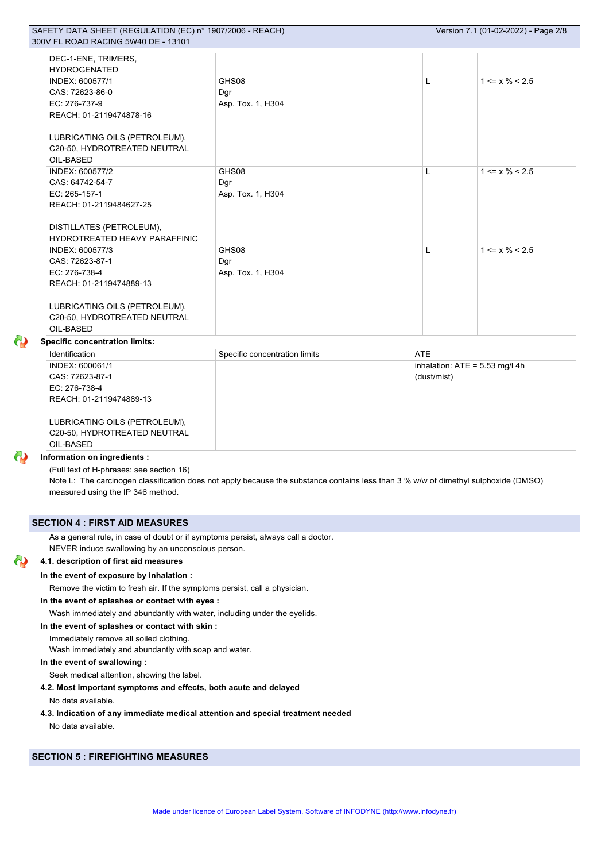| DEC-1-ENE, TRIMERS,<br><b>HYDROGENATED</b> |                   |   |                      |
|--------------------------------------------|-------------------|---|----------------------|
| INDEX: 600577/1                            | GHS08             | L | $1 \le x \% \le 2.5$ |
| CAS: 72623-86-0                            | Dgr               |   |                      |
| EC: 276-737-9                              | Asp. Tox. 1, H304 |   |                      |
| REACH: 01-2119474878-16                    |                   |   |                      |
|                                            |                   |   |                      |
| LUBRICATING OILS (PETROLEUM),              |                   |   |                      |
| C20-50, HYDROTREATED NEUTRAL               |                   |   |                      |
| OIL-BASED                                  |                   |   |                      |
| INDEX: 600577/2                            | GHS08             | L | $1 \le x \% \le 2.5$ |
| CAS: 64742-54-7                            | Dgr               |   |                      |
| EC: 265-157-1                              | Asp. Tox. 1, H304 |   |                      |
| REACH: 01-2119484627-25                    |                   |   |                      |
|                                            |                   |   |                      |
| DISTILLATES (PETROLEUM),                   |                   |   |                      |
| <b>HYDROTREATED HEAVY PARAFFINIC</b>       |                   |   |                      |
| INDEX: 600577/3                            | GHS08             | L | $1 \le x \% \le 2.5$ |
| CAS: 72623-87-1                            | Dgr               |   |                      |
| EC: 276-738-4                              | Asp. Tox. 1, H304 |   |                      |
| REACH: 01-2119474889-13                    |                   |   |                      |
|                                            |                   |   |                      |
| LUBRICATING OILS (PETROLEUM),              |                   |   |                      |
| C20-50, HYDROTREATED NEUTRAL               |                   |   |                      |
| OIL-BASED                                  |                   |   |                      |

## **Specific concentration limits:**

| Identification                | Specific concentration limits | <b>ATE</b>                       |
|-------------------------------|-------------------------------|----------------------------------|
| INDEX: 600061/1               |                               | inhalation: $ATE = 5.53$ mg/l 4h |
| CAS: 72623-87-1               |                               | (dust/mist)                      |
| EC: 276-738-4                 |                               |                                  |
| REACH: 01-2119474889-13       |                               |                                  |
|                               |                               |                                  |
| LUBRICATING OILS (PETROLEUM), |                               |                                  |
| C20-50, HYDROTREATED NEUTRAL  |                               |                                  |
| OIL-BASED                     |                               |                                  |

## **Information on ingredients :**

(Full text of H-phrases: see section 16)

Note L: The carcinogen classification does not apply because the substance contains less than 3 % w/w of dimethyl sulphoxide (DMSO) measured using the IP 346 method.

## **SECTION 4 : FIRST AID MEASURES**

As a general rule, in case of doubt or if symptoms persist, always call a doctor. NEVER induce swallowing by an unconscious person.

#### ര **4.1. description of first aid measures**

## **In the event of exposure by inhalation :**

Remove the victim to fresh air. If the symptoms persist, call a physician.

## **In the event of splashes or contact with eyes :**

Wash immediately and abundantly with water, including under the eyelids.

**In the event of splashes or contact with skin :**

Immediately remove all soiled clothing.

Wash immediately and abundantly with soap and water.

## **In the event of swallowing :**

Seek medical attention, showing the label.

## **4.2. Most important symptoms and effects, both acute and delayed**

No data available.

## **4.3. Indication of any immediate medical attention and special treatment needed**

No data available.

## **SECTION 5 : FIREFIGHTING MEASURES**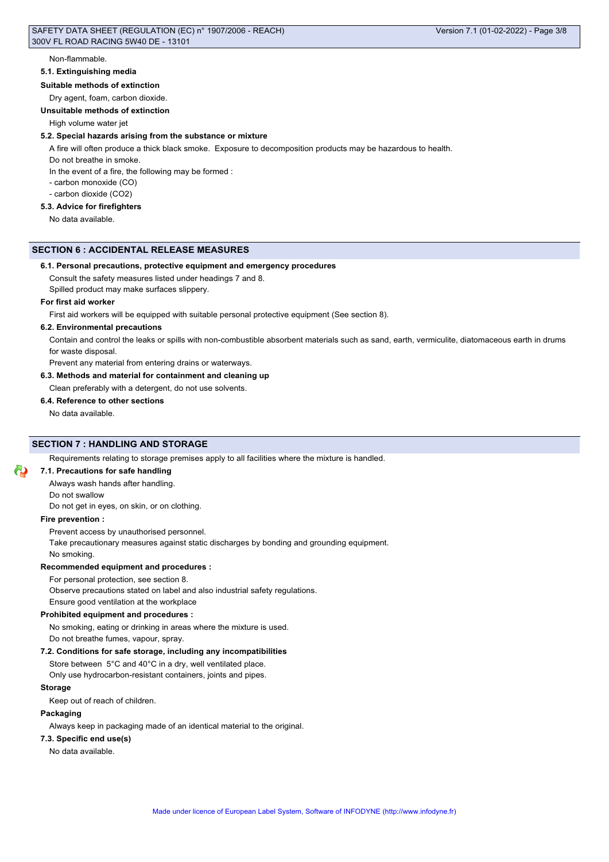Non-flammable.

#### **5.1. Extinguishing media**

## **Suitable methods of extinction**

Dry agent, foam, carbon dioxide.

**Unsuitable methods of extinction**

High volume water jet

## **5.2. Special hazards arising from the substance or mixture**

A fire will often produce a thick black smoke. Exposure to decomposition products may be hazardous to health.

Do not breathe in smoke.

In the event of a fire, the following may be formed :

- carbon monoxide (CO)

- carbon dioxide (CO2)

## **5.3. Advice for firefighters**

No data available.

## **SECTION 6 : ACCIDENTAL RELEASE MEASURES**

## **6.1. Personal precautions, protective equipment and emergency procedures**

Consult the safety measures listed under headings 7 and 8.

Spilled product may make surfaces slippery.

#### **For first aid worker**

First aid workers will be equipped with suitable personal protective equipment (See section 8).

#### **6.2. Environmental precautions**

Contain and control the leaks or spills with non-combustible absorbent materials such as sand, earth, vermiculite, diatomaceous earth in drums for waste disposal.

Prevent any material from entering drains or waterways.

## **6.3. Methods and material for containment and cleaning up**

Clean preferably with a detergent, do not use solvents.

## **6.4. Reference to other sections**

No data available.

## **SECTION 7 : HANDLING AND STORAGE**

Requirements relating to storage premises apply to all facilities where the mixture is handled.

### **7.1. Precautions for safe handling**

Always wash hands after handling.

Do not swallow

Do not get in eyes, on skin, or on clothing.

#### **Fire prevention :**

Prevent access by unauthorised personnel.

Take precautionary measures against static discharges by bonding and grounding equipment.

No smoking.

#### **Recommended equipment and procedures :**

For personal protection, see section 8.

Observe precautions stated on label and also industrial safety regulations.

Ensure good ventilation at the workplace

## **Prohibited equipment and procedures :**

No smoking, eating or drinking in areas where the mixture is used.

Do not breathe fumes, vapour, spray.

## **7.2. Conditions for safe storage, including any incompatibilities**

Store between 5°C and 40°C in a dry, well ventilated place. Only use hydrocarbon-resistant containers, joints and pipes.

#### **Storage**

Keep out of reach of children.

## **Packaging**

Always keep in packaging made of an identical material to the original.

#### **7.3. Specific end use(s)**

No data available.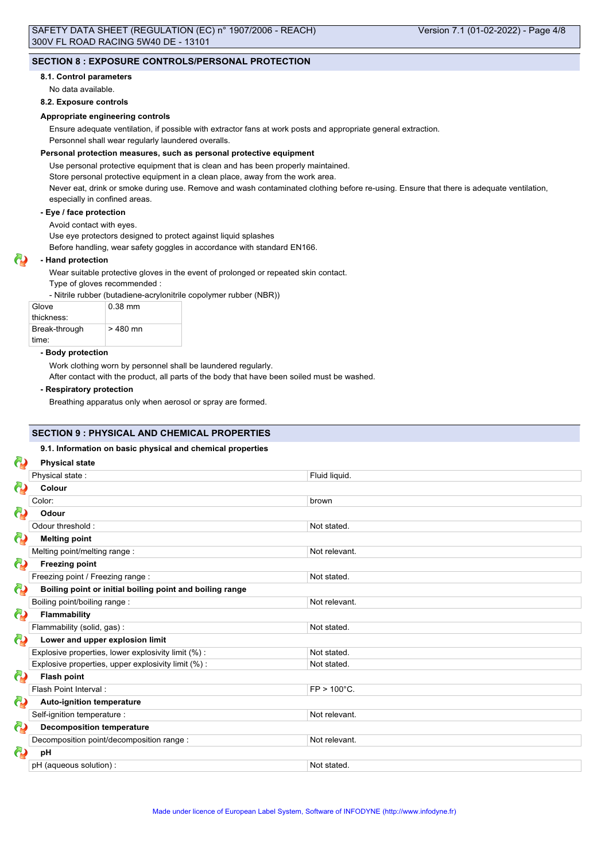## **SECTION 8 : EXPOSURE CONTROLS/PERSONAL PROTECTION**

#### **8.1. Control parameters**

No data available.

## **8.2. Exposure controls**

## **Appropriate engineering controls**

Ensure adequate ventilation, if possible with extractor fans at work posts and appropriate general extraction.

Personnel shall wear regularly laundered overalls.

## **Personal protection measures, such as personal protective equipment**

Use personal protective equipment that is clean and has been properly maintained.

Store personal protective equipment in a clean place, away from the work area.

Never eat, drink or smoke during use. Remove and wash contaminated clothing before re-using. Ensure that there is adequate ventilation, especially in confined areas.

## **- Eye / face protection**

Avoid contact with eyes.

Use eye protectors designed to protect against liquid splashes

Before handling, wear safety goggles in accordance with standard EN166.

## **- Hand protection**

Wear suitable protective gloves in the event of prolonged or repeated skin contact.

Type of gloves recommended :

- Nitrile rubber (butadiene-acrylonitrile copolymer rubber (NBR))

| Glove         | $0.38$ mm |
|---------------|-----------|
| thickness:    |           |
| Break-through | $>480$ mn |
| time:         |           |

#### **- Body protection**

Work clothing worn by personnel shall be laundered regularly.

After contact with the product, all parts of the body that have been soiled must be washed.

## **- Respiratory protection**

Breathing apparatus only when aerosol or spray are formed.

## **SECTION 9 : PHYSICAL AND CHEMICAL PROPERTIES**

## **9.1. Information on basic physical and chemical properties**

| ආ        | <b>Physical state</b>                                    |                |
|----------|----------------------------------------------------------|----------------|
|          | Physical state:                                          | Fluid liquid.  |
| ω        | Colour                                                   |                |
|          | Color:                                                   | brown          |
| 69       | Odour                                                    |                |
|          | Odour threshold:                                         | Not stated.    |
| 69       | <b>Melting point</b>                                     |                |
|          | Melting point/melting range:                             | Not relevant.  |
| 69       | <b>Freezing point</b>                                    |                |
|          | Freezing point / Freezing range :                        | Not stated.    |
| 69       | Boiling point or initial boiling point and boiling range |                |
|          | Boiling point/boiling range:                             | Not relevant.  |
| $\omega$ | Flammability                                             |                |
|          | Flammability (solid, gas):                               | Not stated.    |
| 69       | Lower and upper explosion limit                          |                |
|          | Explosive properties, lower explosivity limit (%):       | Not stated.    |
|          | Explosive properties, upper explosivity limit (%):       | Not stated.    |
| 69       | <b>Flash point</b>                                       |                |
|          | Flash Point Interval:                                    | $FP > 100°C$ . |
| $\omega$ | <b>Auto-ignition temperature</b>                         |                |
|          | Self-ignition temperature :                              | Not relevant.  |
| 69       | <b>Decomposition temperature</b>                         |                |
|          | Decomposition point/decomposition range :                | Not relevant.  |
| ω        | pH                                                       |                |
|          | pH (aqueous solution) :                                  | Not stated.    |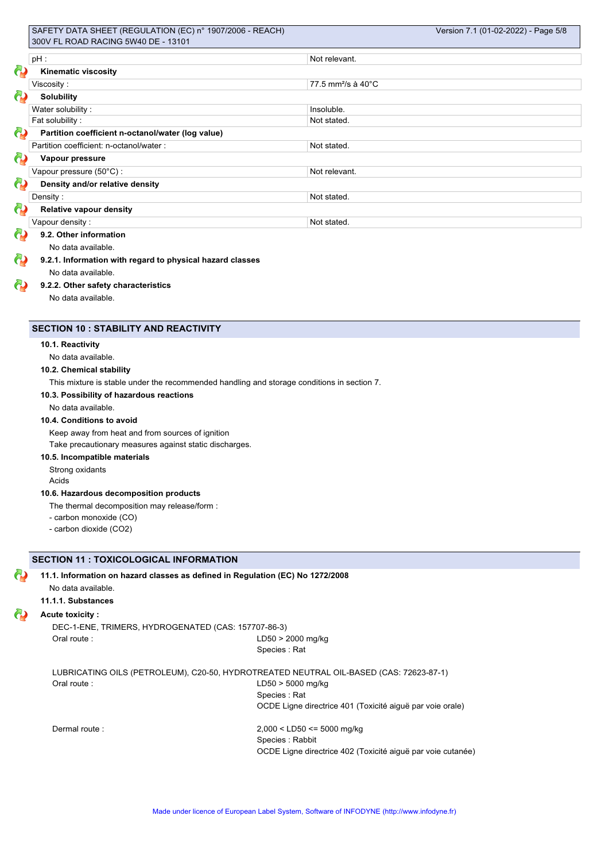|             | $pH$ :                                                    | Not relevant.                  |  |
|-------------|-----------------------------------------------------------|--------------------------------|--|
| $\partial$  | <b>Kinematic viscosity</b>                                |                                |  |
|             | Viscosity:                                                | 77.5 mm <sup>2</sup> /s à 40°C |  |
| ආ           | <b>Solubility</b>                                         |                                |  |
|             | Water solubility:                                         | Insoluble.                     |  |
|             | Fat solubility:                                           | Not stated.                    |  |
| ඟි          | Partition coefficient n-octanol/water (log value)         |                                |  |
|             | Partition coefficient: n-octanol/water :                  | Not stated.                    |  |
| 62          | Vapour pressure                                           |                                |  |
|             | Vapour pressure (50°C):                                   | Not relevant.                  |  |
| 6           | Density and/or relative density                           |                                |  |
|             | Density:                                                  | Not stated.                    |  |
| ආ           | <b>Relative vapour density</b>                            |                                |  |
|             | Vapour density:                                           | Not stated.                    |  |
| $\mathbf Q$ | 9.2. Other information                                    |                                |  |
|             | No data available.                                        |                                |  |
| ବ           | 9.2.1. Information with regard to physical hazard classes |                                |  |
|             | No data available.                                        |                                |  |
| $\bullet$   | 9.2.2. Other safety characteristics                       |                                |  |
|             | No data available.                                        |                                |  |

## **SECTION 10 : STABILITY AND REACTIVITY**

## **10.1. Reactivity**

No data available.

## **10.2. Chemical stability**

This mixture is stable under the recommended handling and storage conditions in section 7.

## **10.3. Possibility of hazardous reactions**

No data available.

## **10.4. Conditions to avoid**

Keep away from heat and from sources of ignition

Take precautionary measures against static discharges.

## **10.5. Incompatible materials**

## Strong oxidants

Acids

## **10.6. Hazardous decomposition products**

- The thermal decomposition may release/form :
- carbon monoxide (CO)
- carbon dioxide (CO2)

## **SECTION 11 : TOXICOLOGICAL INFORMATION**

## **11.1. Information on hazard classes as defined in Regulation (EC) No 1272/2008**

No data available. **11.1.1. Substances**

#### ω **Acute toxicity :**

DEC-1-ENE, TRIMERS, HYDROGENATED (CAS: 157707-86-3) Oral route : LD50 > 2000 mg/kg Species : Rat

LUBRICATING OILS (PETROLEUM), C20-50, HYDROTREATED NEUTRAL OIL-BASED (CAS: 72623-87-1) Oral route : LD50 > 5000 mg/kg Species : Rat OCDE Ligne directrice 401 (Toxicité aiguë par voie orale) Dermal route : 2,000 < LD50 <= 5000 mg/kg

Species : Rabbit OCDE Ligne directrice 402 (Toxicité aiguë par voie cutanée)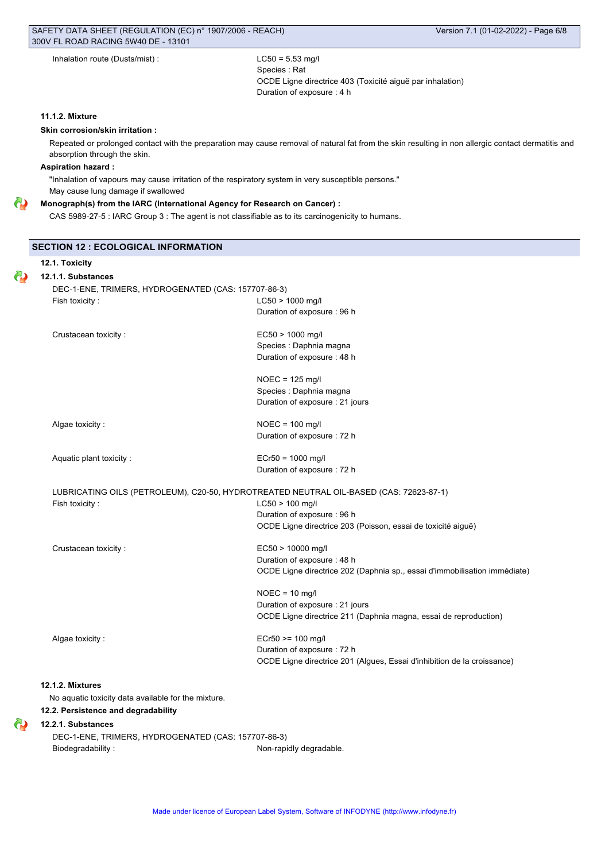| Inhalation route (Dusts/mist): |  |
|--------------------------------|--|
|--------------------------------|--|

 $LC50 = 5.53$  mg/l Species : Rat OCDE Ligne directrice 403 (Toxicité aiguë par inhalation) Duration of exposure : 4 h

## **11.1.2. Mixture**

## **Skin corrosion/skin irritation :**

Repeated or prolonged contact with the preparation may cause removal of natural fat from the skin resulting in non allergic contact dermatitis and absorption through the skin.

## **Aspiration hazard :**

**12.1. Toxicity**

Θ

"Inhalation of vapours may cause irritation of the respiratory system in very susceptible persons." May cause lung damage if swallowed

#### Θ **Monograph(s) from the IARC (International Agency for Research on Cancer) :**

CAS 5989-27-5 : IARC Group 3 : The agent is not classifiable as to its carcinogenicity to humans.

## **SECTION 12 : ECOLOGICAL INFORMATION**

| DEC-1-ENE, TRIMERS, HYDROGENATED (CAS: 157707-86-3) |                                                                                        |
|-----------------------------------------------------|----------------------------------------------------------------------------------------|
| Fish toxicity:                                      | $LC50 > 1000$ mg/l                                                                     |
|                                                     | Duration of exposure : 96 h                                                            |
| Crustacean toxicity:                                | EC50 > 1000 mg/l                                                                       |
|                                                     | Species : Daphnia magna                                                                |
|                                                     | Duration of exposure: 48 h                                                             |
|                                                     | $NOEC = 125$ mg/l                                                                      |
|                                                     | Species : Daphnia magna                                                                |
|                                                     | Duration of exposure : 21 jours                                                        |
| Algae toxicity:                                     | $NOEC = 100$ mg/l                                                                      |
|                                                     | Duration of exposure : 72 h                                                            |
| Aquatic plant toxicity:                             | $ECr50 = 1000$ mg/l                                                                    |
|                                                     | Duration of exposure : 72 h                                                            |
|                                                     | LUBRICATING OILS (PETROLEUM), C20-50, HYDROTREATED NEUTRAL OIL-BASED (CAS: 72623-87-1) |
| Fish toxicity:                                      | $LC50 > 100$ mg/l                                                                      |
|                                                     | Duration of exposure: 96 h                                                             |
|                                                     | OCDE Ligne directrice 203 (Poisson, essai de toxicité aiguë)                           |
| Crustacean toxicity:                                | EC50 > 10000 mg/l                                                                      |
|                                                     | Duration of exposure : 48 h                                                            |
|                                                     | OCDE Ligne directrice 202 (Daphnia sp., essai d'immobilisation immédiate)              |
|                                                     | $NOEC = 10$ mg/l                                                                       |
|                                                     | Duration of exposure : 21 jours                                                        |
|                                                     | OCDE Ligne directrice 211 (Daphnia magna, essai de reproduction)                       |
| Algae toxicity:                                     | ECr50 >= 100 mg/l                                                                      |
|                                                     | Duration of exposure : 72 h                                                            |
|                                                     | OCDE Ligne directrice 201 (Algues, Essai d'inhibition de la croissance)                |
|                                                     |                                                                                        |
| 12.1.2. Mixtures                                    |                                                                                        |

## **12.2. Persistence and degradability**

#### **12.2.1. Substances** ω

DEC-1-ENE, TRIMERS, HYDROGENATED (CAS: 157707-86-3) Biodegradability : Non-rapidly degradable.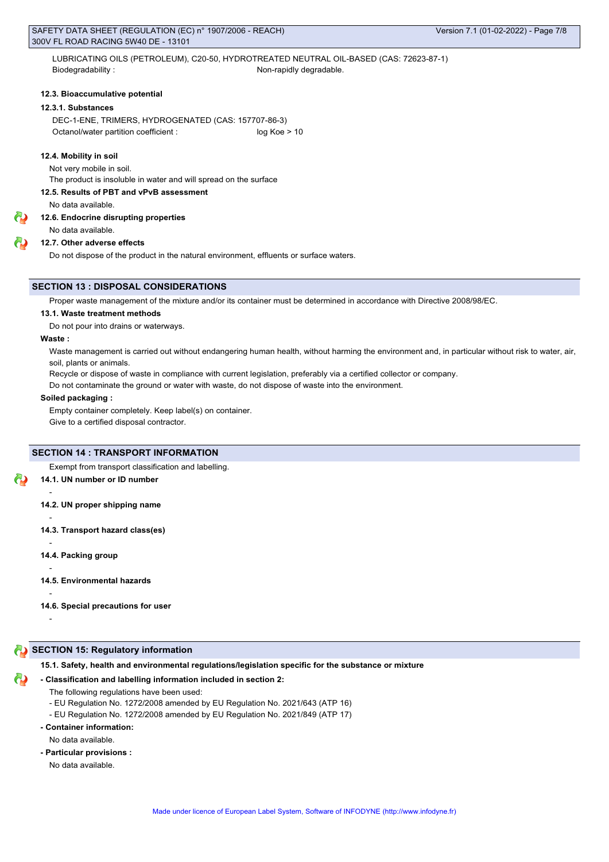LUBRICATING OILS (PETROLEUM), C20-50, HYDROTREATED NEUTRAL OIL-BASED (CAS: 72623-87-1) Biodegradability : Non-rapidly degradable.

### **12.3. Bioaccumulative potential**

## **12.3.1. Substances**

DEC-1-ENE, TRIMERS, HYDROGENATED (CAS: 157707-86-3) Octanol/water partition coefficient : log Koe > 10

#### **12.4. Mobility in soil**

Not very mobile in soil.

The product is insoluble in water and will spread on the surface

## **12.5. Results of PBT and vPvB assessment**

No data available.

## **12.6. Endocrine disrupting properties**

No data available.

## **12.7. Other adverse effects**

Do not dispose of the product in the natural environment, effluents or surface waters.

#### **SECTION 13 : DISPOSAL CONSIDERATIONS**

Proper waste management of the mixture and/or its container must be determined in accordance with Directive 2008/98/EC.

#### **13.1. Waste treatment methods**

Do not pour into drains or waterways.

## **Waste :**

-

-

-

-

-

-

Waste management is carried out without endangering human health, without harming the environment and, in particular without risk to water, air, soil, plants or animals.

Recycle or dispose of waste in compliance with current legislation, preferably via a certified collector or company.

Do not contaminate the ground or water with waste, do not dispose of waste into the environment.

## **Soiled packaging :**

Empty container completely. Keep label(s) on container.

Give to a certified disposal contractor.

## **SECTION 14 : TRANSPORT INFORMATION**

Exempt from transport classification and labelling.

#### **14.1. UN number or ID number**

**14.2. UN proper shipping name**

- **14.3. Transport hazard class(es)**
- **14.4. Packing group**
- **14.5. Environmental hazards**
- **14.6. Special precautions for user**

## **SECTION 15: Regulatory information**

#### **15.1. Safety, health and environmental regulations/legislation specific for the substance or mixture**

#### **- Classification and labelling information included in section 2:**

- The following regulations have been used:
- EU Regulation No. 1272/2008 amended by EU Regulation No. 2021/643 (ATP 16)
- EU Regulation No. 1272/2008 amended by EU Regulation No. 2021/849 (ATP 17)
- **Container information:**

No data available.

**- Particular provisions :**

No data available.